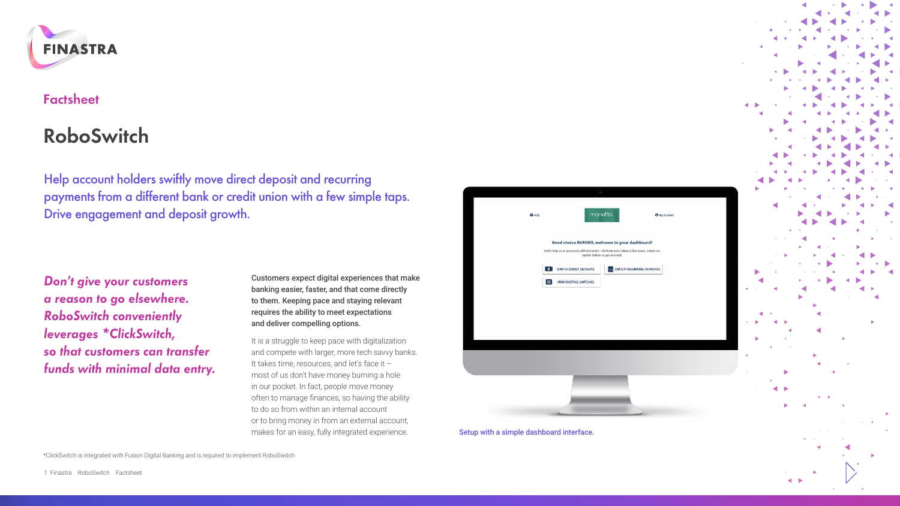

# **Factsheet**

# **RoboSwitch**

Help account holders swiftly move direct deposit and recurring payments from a different bank or credit union with a few simple taps. Drive engagement and deposit growth.

*Don't give your customers a reason to go elsewhere. RoboSwitch conveniently leverages \*ClickSwitch, so that customers can transfer funds with minimal data entry.*

Customers expect digital experiences that make banking easier, faster, and that come directly to them. Keeping pace and staying relevant requires the ability to meet expectations and deliver compelling options.

It is a struggle to keep pace with digitalization and compete with larger, more tech savvy banks. It takes time, resources, and let's face it – most of us don't have money burning a hole in our pocket. In fact, people move money often to manage finances, so having the ability to do so from within an internal account or to bring money in from an external account, makes for an easy, fully integrated experience.

|                                                                                                                                                                    |                                   | o                                    |
|--------------------------------------------------------------------------------------------------------------------------------------------------------------------|-----------------------------------|--------------------------------------|
|                                                                                                                                                                    | Orida                             | monotto<br><b>O</b> My Account       |
| Good choice RAMIRO, welcome to your dashboard!<br>Switching your accounts with Monetto - Partner only takes a few steps, Select an<br>option below to get started. |                                   |                                      |
|                                                                                                                                                                    | <b>OF SMITCH DIRECT DEPOSITS</b>  | <b>THE SWITCH RECURRING PAYMENTS</b> |
|                                                                                                                                                                    | 冒<br><b>MEW EXISTING SWITCHES</b> |                                      |
|                                                                                                                                                                    |                                   |                                      |
|                                                                                                                                                                    |                                   |                                      |
|                                                                                                                                                                    |                                   |                                      |
|                                                                                                                                                                    |                                   |                                      |
|                                                                                                                                                                    |                                   |                                      |

Setup with a simple dashboard interface.

٠

\*ClickSwitch is integrated with Fusion Digital Banking and is required to implement RoboSwitch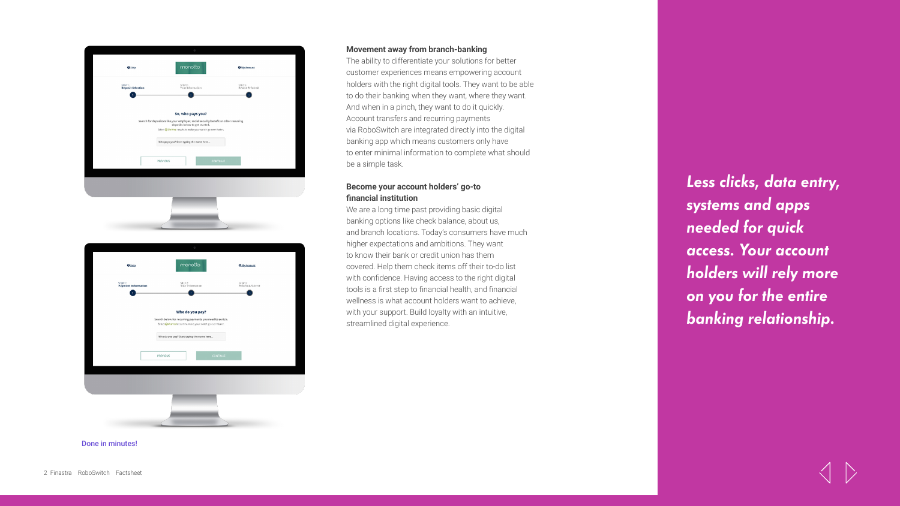



## **Movement away from branch-banking**

The ability to differentiate your solutions for better customer experiences means empowering account holders with the right digital tools. They want to be able to do their banking when they want, where they want. And when in a pinch, they want to do it quickly. Account transfers and recurring payments via RoboSwitch are integrated directly into the digital banking app which means customers only have to enter minimal information to complete what should be a simple task.

# **Become your account holders' go-to financial institution**

We are a long time past providing basic digital banking options like check balance, about us, and branch locations. Today's consumers have much higher expectations and ambitions. They want to know their bank or credit union has them covered. Help them check items off their to‑do list with confidence. Having access to the right digital tools is a first step to financial health, and financial wellness is what account holders want to achieve, with your support. Build loyalty with an intuitive, streamlined digital experience.

*Less clicks, data entry, systems and apps needed for quick access. Your account holders will rely more on you for the entire banking relationship.*

Done in minutes!